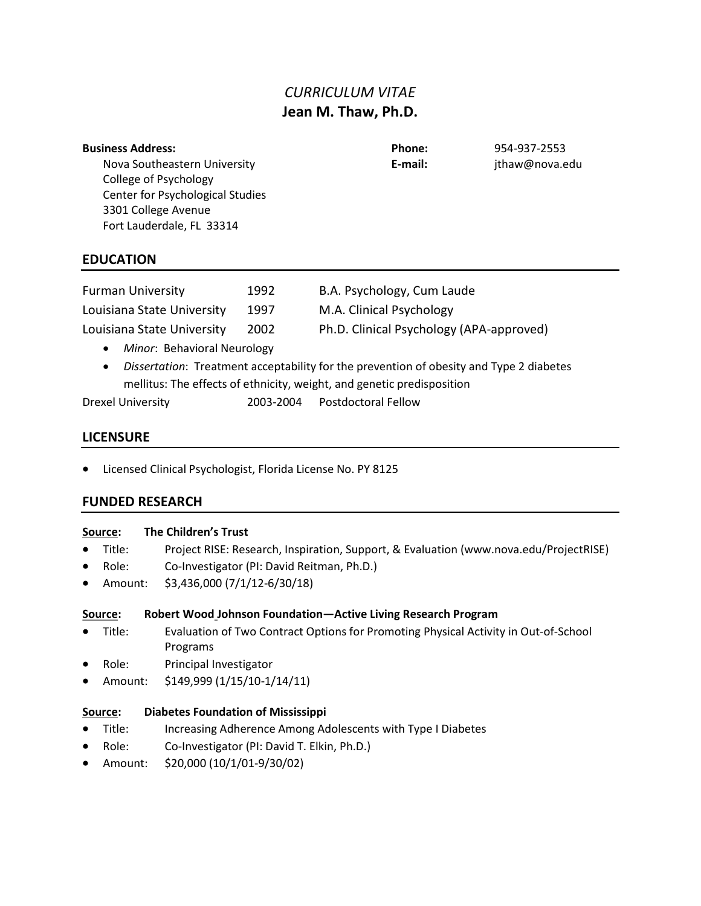# CURRICULUM VITAE Jean M. Thaw, Ph.D.

| <b>Business Address:</b> |  |  |  |
|--------------------------|--|--|--|
|                          |  |  |  |

Phone: 954-937-2553 E-mail: jthaw@nova.edu

Nova Southeastern University College of Psychology Center for Psychological Studies 3301 College Avenue Fort Lauderdale, FL 33314

# EDUCATION

| <b>Furman University</b>   | 1992 | B.A. Psychology, Cum Laude               |
|----------------------------|------|------------------------------------------|
| Louisiana State University | 1997 | M.A. Clinical Psychology                 |
| Louisiana State University | 2002 | Ph.D. Clinical Psychology (APA-approved) |

- Minor: Behavioral Neurology
- Dissertation: Treatment acceptability for the prevention of obesity and Type 2 diabetes mellitus: The effects of ethnicity, weight, and genetic predisposition

Drexel University 2003-2004 Postdoctoral Fellow

# LICENSURE

Licensed Clinical Psychologist, Florida License No. PY 8125

# FUNDED RESEARCH

# Source: The Children's Trust

- Title: Project RISE: Research, Inspiration, Support, & Evaluation (www.nova.edu/ProjectRISE)
- Role: Co-Investigator (PI: David Reitman, Ph.D.)
- Amount: \$3,436,000 (7/1/12-6/30/18)

# Source: Robert Wood Johnson Foundation—Active Living Research Program

- Title: Evaluation of Two Contract Options for Promoting Physical Activity in Out-of-School Programs
- Role: Principal Investigator
- Amount: \$149,999 (1/15/10-1/14/11)

# Source: Diabetes Foundation of Mississippi

- Title: Increasing Adherence Among Adolescents with Type I Diabetes
- Role: Co-Investigator (PI: David T. Elkin, Ph.D.)
- Amount: \$20,000 (10/1/01-9/30/02)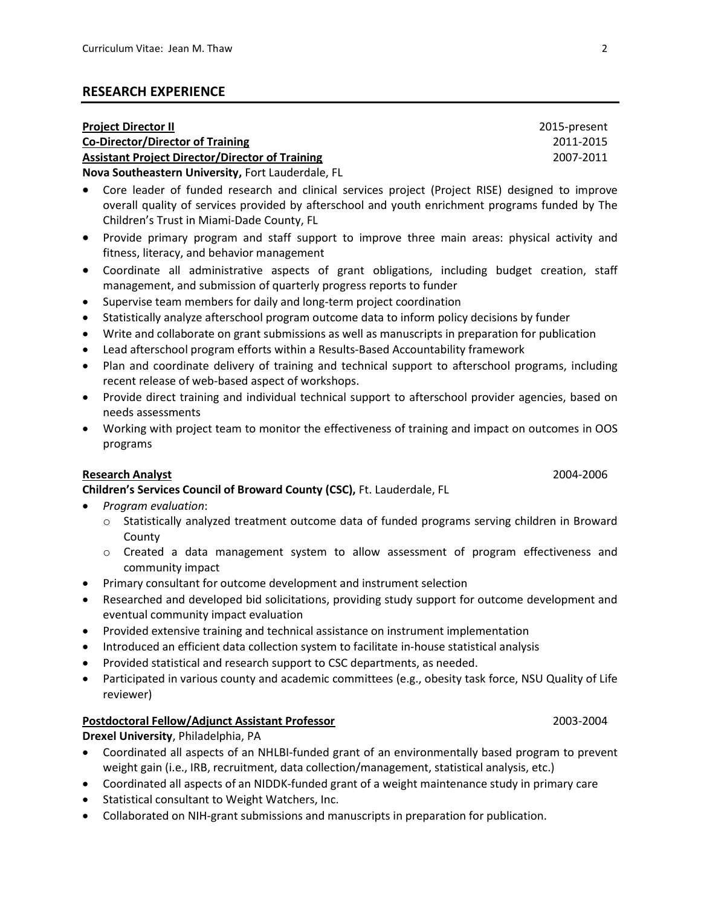### RESEARCH EXPERIENCE

| <b>Project Director II</b>                             | 2015-present |
|--------------------------------------------------------|--------------|
| <b>Co-Director/Director of Training</b>                | 2011-2015    |
| <b>Assistant Project Director/Director of Training</b> | 2007-2011    |
| Nova Southeastern University, Fort Lauderdale, FL      |              |

 Core leader of funded research and clinical services project (Project RISE) designed to improve overall quality of services provided by afterschool and youth enrichment programs funded by The Children's Trust in Miami-Dade County, FL

- Provide primary program and staff support to improve three main areas: physical activity and fitness, literacy, and behavior management
- Coordinate all administrative aspects of grant obligations, including budget creation, staff management, and submission of quarterly progress reports to funder
- Supervise team members for daily and long-term project coordination
- Statistically analyze afterschool program outcome data to inform policy decisions by funder
- Write and collaborate on grant submissions as well as manuscripts in preparation for publication
- Lead afterschool program efforts within a Results-Based Accountability framework
- Plan and coordinate delivery of training and technical support to afterschool programs, including recent release of web-based aspect of workshops.
- Provide direct training and individual technical support to afterschool provider agencies, based on needs assessments
- Working with project team to monitor the effectiveness of training and impact on outcomes in OOS programs

# Research Analyst 2004-2006

Children's Services Council of Broward County (CSC), Ft. Lauderdale, FL

- Program evaluation:
	- $\circ$  Statistically analyzed treatment outcome data of funded programs serving children in Broward **County**
	- o Created a data management system to allow assessment of program effectiveness and community impact
- Primary consultant for outcome development and instrument selection
- Researched and developed bid solicitations, providing study support for outcome development and eventual community impact evaluation
- Provided extensive training and technical assistance on instrument implementation
- Introduced an efficient data collection system to facilitate in-house statistical analysis
- Provided statistical and research support to CSC departments, as needed.
- Participated in various county and academic committees (e.g., obesity task force, NSU Quality of Life reviewer)

### Postdoctoral Fellow/Adjunct Assistant Professor 2003-2004

### Drexel University, Philadelphia, PA

- Coordinated all aspects of an NHLBI-funded grant of an environmentally based program to prevent weight gain (i.e., IRB, recruitment, data collection/management, statistical analysis, etc.)
- Coordinated all aspects of an NIDDK-funded grant of a weight maintenance study in primary care
- Statistical consultant to Weight Watchers, Inc.
- Collaborated on NIH-grant submissions and manuscripts in preparation for publication.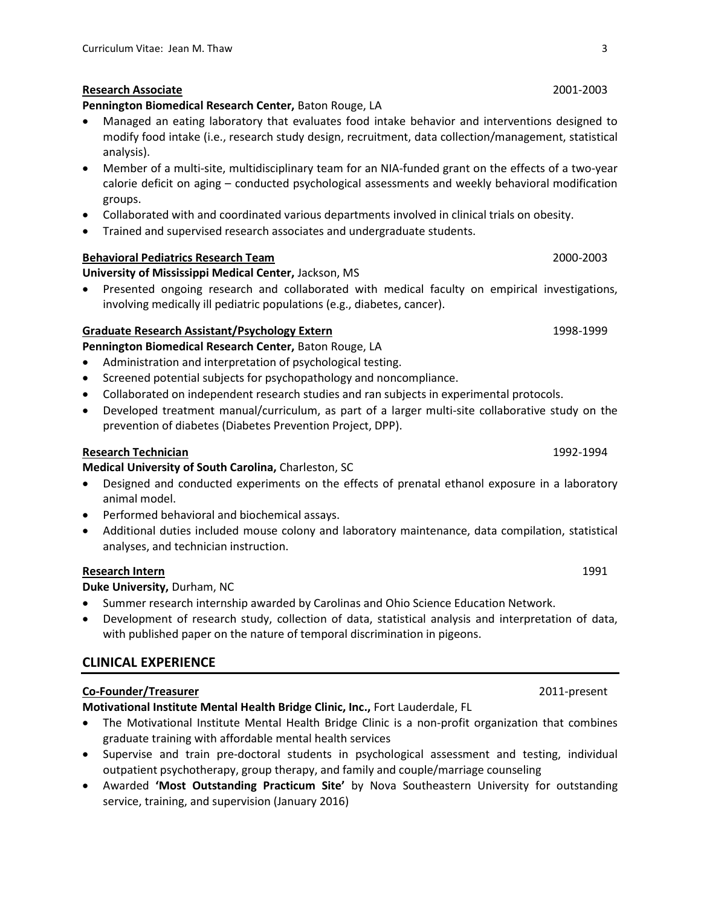#### Research Associate 2001-2003

#### Pennington Biomedical Research Center, Baton Rouge, LA

- Managed an eating laboratory that evaluates food intake behavior and interventions designed to modify food intake (i.e., research study design, recruitment, data collection/management, statistical analysis).
- Member of a multi-site, multidisciplinary team for an NIA-funded grant on the effects of a two-year calorie deficit on aging – conducted psychological assessments and weekly behavioral modification groups.
- Collaborated with and coordinated various departments involved in clinical trials on obesity.
- Trained and supervised research associates and undergraduate students.

### Behavioral Pediatrics Research Team 2000-2003

#### University of Mississippi Medical Center, Jackson, MS

 Presented ongoing research and collaborated with medical faculty on empirical investigations, involving medically ill pediatric populations (e.g., diabetes, cancer).

#### Graduate Research Assistant/Psychology Extern 1998-1999 1998-1999

#### Pennington Biomedical Research Center, Baton Rouge, LA

- Administration and interpretation of psychological testing.
- Screened potential subjects for psychopathology and noncompliance.
- Collaborated on independent research studies and ran subjects in experimental protocols.
- Developed treatment manual/curriculum, as part of a larger multi-site collaborative study on the prevention of diabetes (Diabetes Prevention Project, DPP).

#### Research Technician **1992-1994**

Medical University of South Carolina, Charleston, SC

- Designed and conducted experiments on the effects of prenatal ethanol exposure in a laboratory animal model.
- Performed behavioral and biochemical assays.
- Additional duties included mouse colony and laboratory maintenance, data compilation, statistical analyses, and technician instruction.

#### **Research Intern** 1991

Duke University, Durham, NC

- Summer research internship awarded by Carolinas and Ohio Science Education Network.
- Development of research study, collection of data, statistical analysis and interpretation of data, with published paper on the nature of temporal discrimination in pigeons.

# CLINICAL EXPERIENCE

#### Co-Founder/Treasurer 2011-present

Motivational Institute Mental Health Bridge Clinic, Inc., Fort Lauderdale, FL

- The Motivational Institute Mental Health Bridge Clinic is a non-profit organization that combines graduate training with affordable mental health services
- Supervise and train pre-doctoral students in psychological assessment and testing, individual outpatient psychotherapy, group therapy, and family and couple/marriage counseling
- Awarded 'Most Outstanding Practicum Site' by Nova Southeastern University for outstanding service, training, and supervision (January 2016)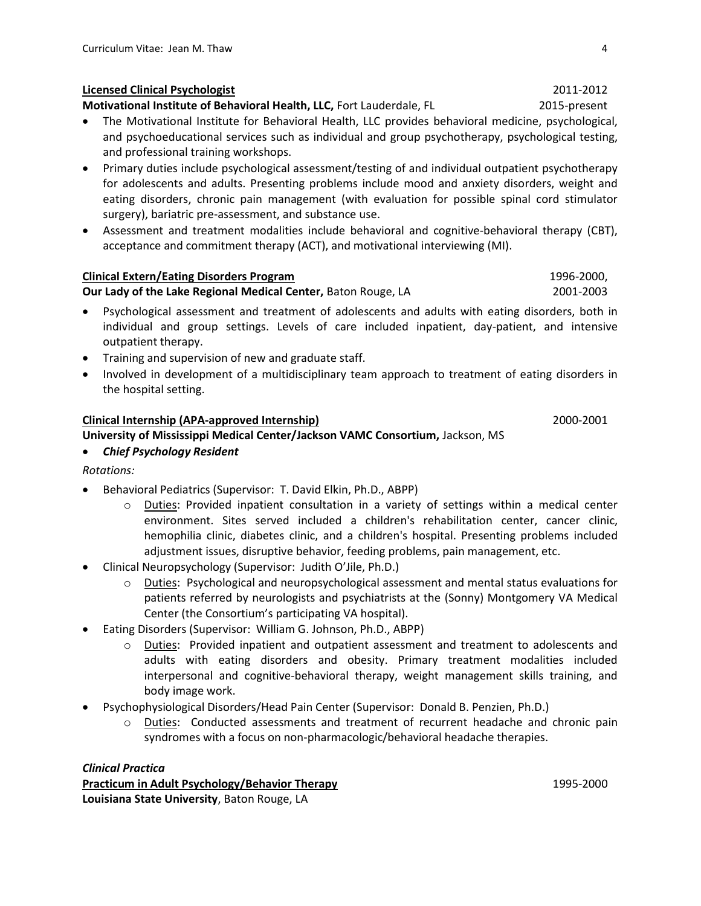# Licensed Clinical Psychologist 2011-2012

Motivational Institute of Behavioral Health, LLC, Fort Lauderdale, FL 2015-present

- The Motivational Institute for Behavioral Health, LLC provides behavioral medicine, psychological, and psychoeducational services such as individual and group psychotherapy, psychological testing, and professional training workshops.
- Primary duties include psychological assessment/testing of and individual outpatient psychotherapy for adolescents and adults. Presenting problems include mood and anxiety disorders, weight and eating disorders, chronic pain management (with evaluation for possible spinal cord stimulator surgery), bariatric pre-assessment, and substance use.
- Assessment and treatment modalities include behavioral and cognitive-behavioral therapy (CBT), acceptance and commitment therapy (ACT), and motivational interviewing (MI).

### Clinical Extern/Eating Disorders Program 1996-2000, 1996-2000,

Our Lady of the Lake Regional Medical Center, Baton Rouge, LA 2001-2003

- Psychological assessment and treatment of adolescents and adults with eating disorders, both in individual and group settings. Levels of care included inpatient, day-patient, and intensive outpatient therapy.
- Training and supervision of new and graduate staff.
- Involved in development of a multidisciplinary team approach to treatment of eating disorders in the hospital setting.

### Clinical Internship (APA-approved Internship) 2000-2001

University of Mississippi Medical Center/Jackson VAMC Consortium, Jackson, MS

#### Chief Psychology Resident

- Rotations:
- Behavioral Pediatrics (Supervisor: T. David Elkin, Ph.D., ABPP)
	- o Duties: Provided inpatient consultation in a variety of settings within a medical center environment. Sites served included a children's rehabilitation center, cancer clinic, hemophilia clinic, diabetes clinic, and a children's hospital. Presenting problems included adjustment issues, disruptive behavior, feeding problems, pain management, etc.
- Clinical Neuropsychology (Supervisor: Judith O'Jile, Ph.D.)
	- $\circ$  Duties: Psychological and neuropsychological assessment and mental status evaluations for patients referred by neurologists and psychiatrists at the (Sonny) Montgomery VA Medical Center (the Consortium's participating VA hospital).
- Eating Disorders (Supervisor: William G. Johnson, Ph.D., ABPP)
	- o Duties: Provided inpatient and outpatient assessment and treatment to adolescents and adults with eating disorders and obesity. Primary treatment modalities included interpersonal and cognitive-behavioral therapy, weight management skills training, and body image work.
- Psychophysiological Disorders/Head Pain Center (Supervisor: Donald B. Penzien, Ph.D.)
	- o **Duties:** Conducted assessments and treatment of recurrent headache and chronic pain syndromes with a focus on non-pharmacologic/behavioral headache therapies.

### Clinical Practica

Practicum in Adult Psychology/Behavior Therapy 1995-2000 Louisiana State University, Baton Rouge, LA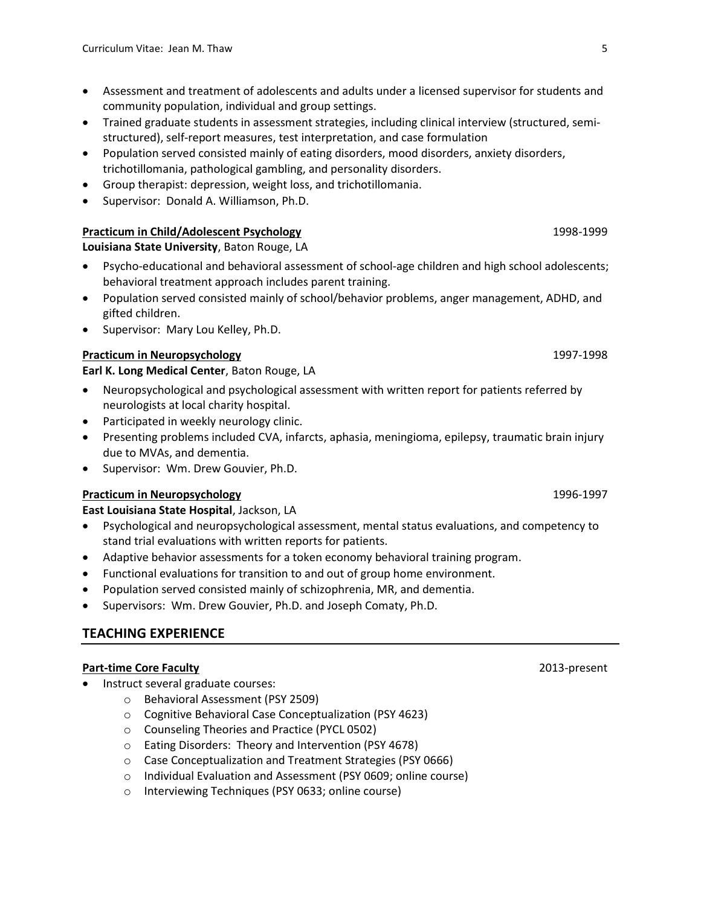- Assessment and treatment of adolescents and adults under a licensed supervisor for students and community population, individual and group settings.
- Trained graduate students in assessment strategies, including clinical interview (structured, semistructured), self-report measures, test interpretation, and case formulation
- Population served consisted mainly of eating disorders, mood disorders, anxiety disorders, trichotillomania, pathological gambling, and personality disorders.
- Group therapist: depression, weight loss, and trichotillomania.
- Supervisor: Donald A. Williamson, Ph.D.

### Practicum in Child/Adolescent Psychology 1998-1999 1998-1999

Louisiana State University, Baton Rouge, LA

- Psycho-educational and behavioral assessment of school-age children and high school adolescents; behavioral treatment approach includes parent training.
- Population served consisted mainly of school/behavior problems, anger management, ADHD, and gifted children.
- Supervisor: Mary Lou Kelley, Ph.D.

## Practicum in Neuropsychology 1997-1998

Earl K. Long Medical Center, Baton Rouge, LA

- Neuropsychological and psychological assessment with written report for patients referred by neurologists at local charity hospital.
- Participated in weekly neurology clinic.
- Presenting problems included CVA, infarcts, aphasia, meningioma, epilepsy, traumatic brain injury due to MVAs, and dementia.
- Supervisor: Wm. Drew Gouvier, Ph.D.

### Practicum in Neuropsychology 1996-1997

### East Louisiana State Hospital, Jackson, LA

- Psychological and neuropsychological assessment, mental status evaluations, and competency to stand trial evaluations with written reports for patients.
- Adaptive behavior assessments for a token economy behavioral training program.
- Functional evaluations for transition to and out of group home environment.
- Population served consisted mainly of schizophrenia, MR, and dementia.
- Supervisors: Wm. Drew Gouvier, Ph.D. and Joseph Comaty, Ph.D.

# TEACHING EXPERIENCE

### Part-time Core Faculty **2013**-present

- Instruct several graduate courses:
	- o Behavioral Assessment (PSY 2509)
	- o Cognitive Behavioral Case Conceptualization (PSY 4623)
	- o Counseling Theories and Practice (PYCL 0502)
	- o Eating Disorders: Theory and Intervention (PSY 4678)
	- o Case Conceptualization and Treatment Strategies (PSY 0666)
	- o Individual Evaluation and Assessment (PSY 0609; online course)
	- o Interviewing Techniques (PSY 0633; online course)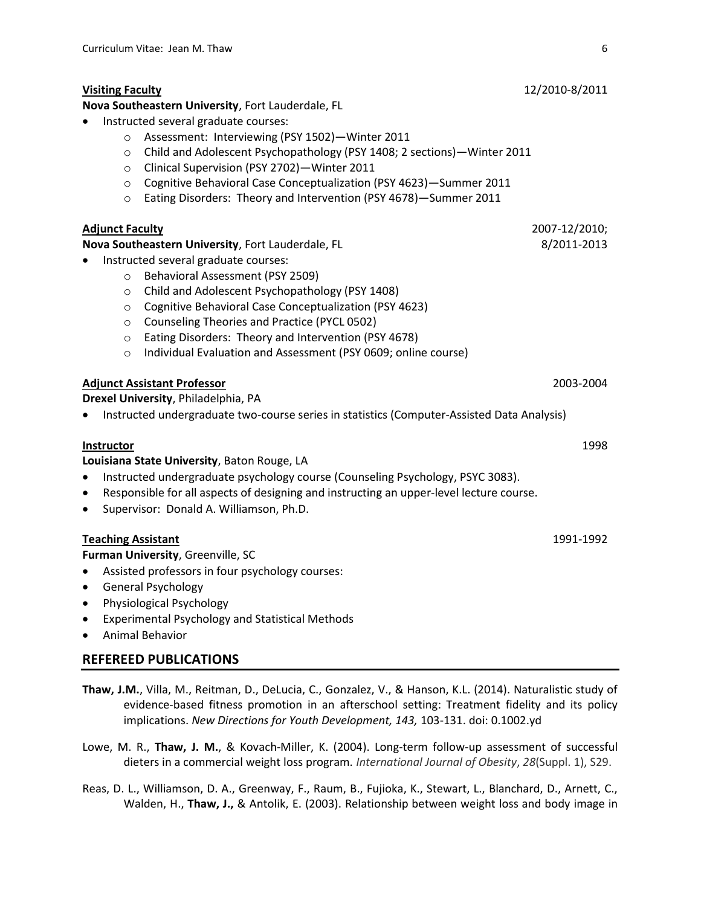#### Visiting Faculty 12/2010-8/2011

Nova Southeastern University, Fort Lauderdale, FL

- Instructed several graduate courses:
	- o Assessment: Interviewing (PSY 1502)—Winter 2011
	- o Child and Adolescent Psychopathology (PSY 1408; 2 sections)—Winter 2011
	- o Clinical Supervision (PSY 2702)—Winter 2011
	- o Cognitive Behavioral Case Conceptualization (PSY 4623)—Summer 2011
	- o Eating Disorders: Theory and Intervention (PSY 4678)—Summer 2011

### Adjunct Faculty 2007-12/2010;

Nova Southeastern University, Fort Lauderdale, FL 8/2011-2013

- Instructed several graduate courses:
	- o Behavioral Assessment (PSY 2509)
	- o Child and Adolescent Psychopathology (PSY 1408)
	- o Cognitive Behavioral Case Conceptualization (PSY 4623)
	- o Counseling Theories and Practice (PYCL 0502)
	- o Eating Disorders: Theory and Intervention (PSY 4678)
	- o Individual Evaluation and Assessment (PSY 0609; online course)

#### Adjunct Assistant Professor 2003-2004

Drexel University, Philadelphia, PA

Instructed undergraduate two-course series in statistics (Computer-Assisted Data Analysis)

#### **Instructor** 1998

Louisiana State University, Baton Rouge, LA

- Instructed undergraduate psychology course (Counseling Psychology, PSYC 3083).
- Responsible for all aspects of designing and instructing an upper-level lecture course.
- Supervisor: Donald A. Williamson, Ph.D.

#### **Teaching Assistant 1991-1992**

Furman University, Greenville, SC

- Assisted professors in four psychology courses:
- General Psychology
- Physiological Psychology
- Experimental Psychology and Statistical Methods
- Animal Behavior

### REFEREED PUBLICATIONS

- Thaw, J.M., Villa, M., Reitman, D., DeLucia, C., Gonzalez, V., & Hanson, K.L. (2014). Naturalistic study of evidence-based fitness promotion in an afterschool setting: Treatment fidelity and its policy implications. New Directions for Youth Development, 143, 103-131. doi: 0.1002.yd
- Lowe, M. R., Thaw, J. M., & Kovach-Miller, K. (2004). Long-term follow-up assessment of successful dieters in a commercial weight loss program. International Journal of Obesity, 28(Suppl. 1), S29.
- Reas, D. L., Williamson, D. A., Greenway, F., Raum, B., Fujioka, K., Stewart, L., Blanchard, D., Arnett, C., Walden, H., Thaw, J., & Antolik, E. (2003). Relationship between weight loss and body image in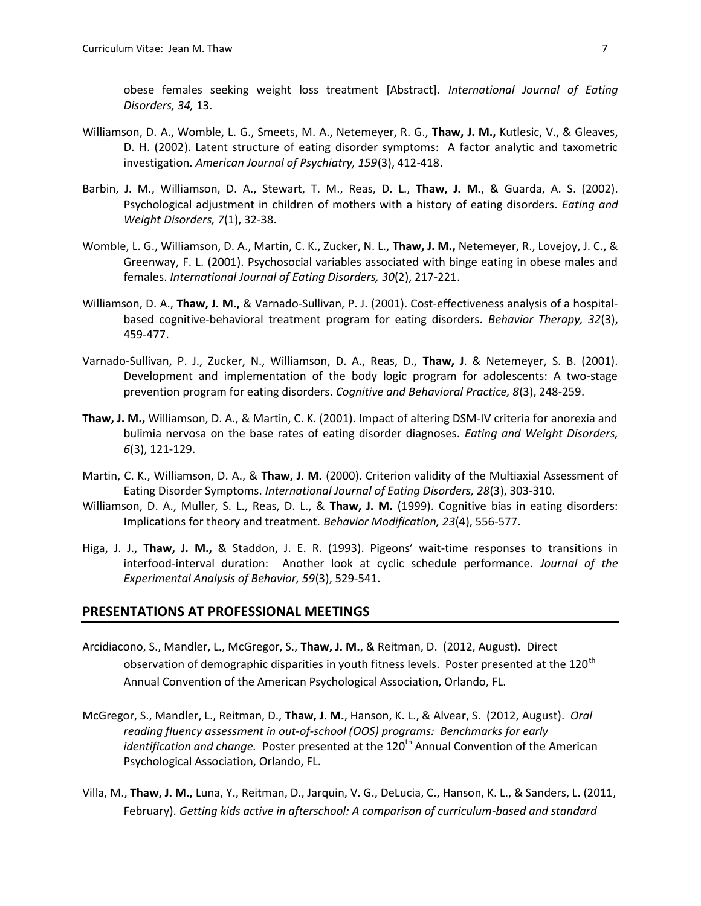obese females seeking weight loss treatment [Abstract]. International Journal of Eating Disorders, 34, 13.

- Williamson, D. A., Womble, L. G., Smeets, M. A., Netemeyer, R. G., Thaw, J. M., Kutlesic, V., & Gleaves, D. H. (2002). Latent structure of eating disorder symptoms: A factor analytic and taxometric investigation. American Journal of Psychiatry, 159(3), 412-418.
- Barbin, J. M., Williamson, D. A., Stewart, T. M., Reas, D. L., Thaw, J. M., & Guarda, A. S. (2002). Psychological adjustment in children of mothers with a history of eating disorders. Eating and Weight Disorders, 7(1), 32-38.
- Womble, L. G., Williamson, D. A., Martin, C. K., Zucker, N. L., Thaw, J. M., Netemeyer, R., Lovejoy, J. C., & Greenway, F. L. (2001). Psychosocial variables associated with binge eating in obese males and females. International Journal of Eating Disorders, 30(2), 217-221.
- Williamson, D. A., Thaw, J. M., & Varnado-Sullivan, P. J. (2001). Cost-effectiveness analysis of a hospitalbased cognitive-behavioral treatment program for eating disorders. Behavior Therapy, 32(3), 459-477.
- Varnado-Sullivan, P. J., Zucker, N., Williamson, D. A., Reas, D., Thaw, J. & Netemeyer, S. B. (2001). Development and implementation of the body logic program for adolescents: A two-stage prevention program for eating disorders. Cognitive and Behavioral Practice, 8(3), 248-259.
- Thaw, J. M., Williamson, D. A., & Martin, C. K. (2001). Impact of altering DSM-IV criteria for anorexia and bulimia nervosa on the base rates of eating disorder diagnoses. Eating and Weight Disorders, 6(3), 121-129.
- Martin, C. K., Williamson, D. A., & Thaw, J. M. (2000). Criterion validity of the Multiaxial Assessment of Eating Disorder Symptoms. International Journal of Eating Disorders, 28(3), 303-310.
- Williamson, D. A., Muller, S. L., Reas, D. L., & Thaw, J. M. (1999). Cognitive bias in eating disorders: Implications for theory and treatment. Behavior Modification, 23(4), 556-577.
- Higa, J. J., Thaw, J. M., & Staddon, J. E. R. (1993). Pigeons' wait-time responses to transitions in interfood-interval duration: Another look at cyclic schedule performance. Journal of the Experimental Analysis of Behavior, 59(3), 529-541.

#### PRESENTATIONS AT PROFESSIONAL MEETINGS

- Arcidiacono, S., Mandler, L., McGregor, S., Thaw, J. M., & Reitman, D. (2012, August). Direct observation of demographic disparities in youth fitness levels. Poster presented at the 120<sup>th</sup> Annual Convention of the American Psychological Association, Orlando, FL.
- McGregor, S., Mandler, L., Reitman, D., Thaw, J. M., Hanson, K. L., & Alvear, S. (2012, August). Oral reading fluency assessment in out-of-school (OOS) programs: Benchmarks for early *identification and change.* Poster presented at the  $120<sup>th</sup>$  Annual Convention of the American Psychological Association, Orlando, FL.
- Villa, M., Thaw, J. M., Luna, Y., Reitman, D., Jarquin, V. G., DeLucia, C., Hanson, K. L., & Sanders, L. (2011, February). Getting kids active in afterschool: A comparison of curriculum-based and standard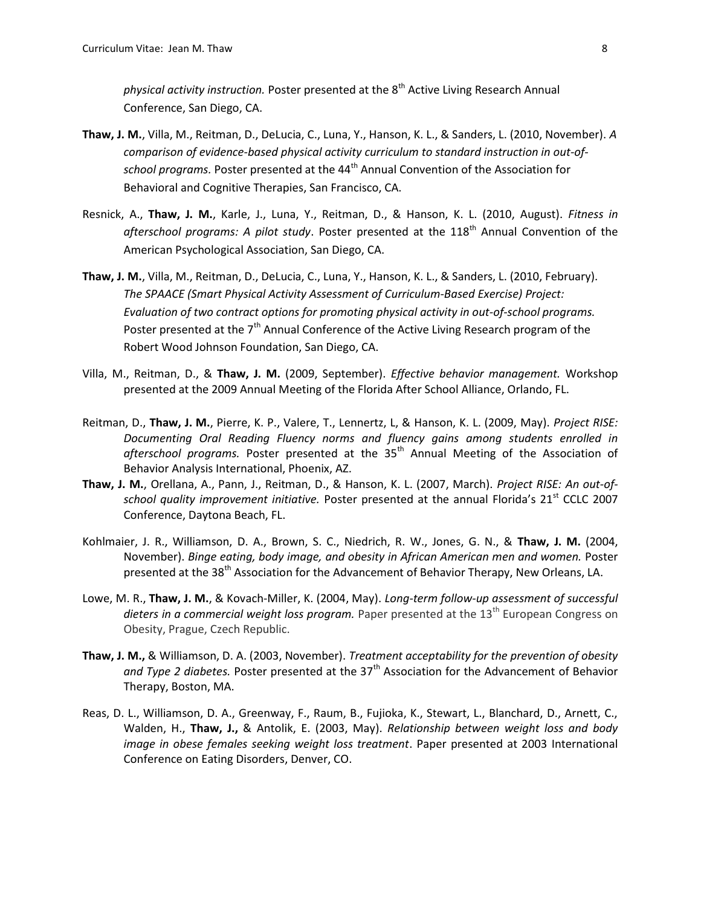physical activity instruction. Poster presented at the  $8<sup>th</sup>$  Active Living Research Annual Conference, San Diego, CA.

- Thaw, J. M., Villa, M., Reitman, D., DeLucia, C., Luna, Y., Hanson, K. L., & Sanders, L. (2010, November). A comparison of evidence-based physical activity curriculum to standard instruction in out-ofschool programs. Poster presented at the 44<sup>th</sup> Annual Convention of the Association for Behavioral and Cognitive Therapies, San Francisco, CA.
- Resnick, A., Thaw, J. M., Karle, J., Luna, Y., Reitman, D., & Hanson, K. L. (2010, August). Fitness in afterschool programs: A pilot study. Poster presented at the  $118<sup>th</sup>$  Annual Convention of the American Psychological Association, San Diego, CA.
- Thaw, J. M., Villa, M., Reitman, D., DeLucia, C., Luna, Y., Hanson, K. L., & Sanders, L. (2010, February). The SPAACE (Smart Physical Activity Assessment of Curriculum-Based Exercise) Project: Evaluation of two contract options for promoting physical activity in out-of-school programs. Poster presented at the  $7<sup>th</sup>$  Annual Conference of the Active Living Research program of the Robert Wood Johnson Foundation, San Diego, CA.
- Villa, M., Reitman, D., & Thaw, J. M. (2009, September). *Effective behavior management*. Workshop presented at the 2009 Annual Meeting of the Florida After School Alliance, Orlando, FL.
- Reitman, D., Thaw, J. M., Pierre, K. P., Valere, T., Lennertz, L, & Hanson, K. L. (2009, May). Project RISE: Documenting Oral Reading Fluency norms and fluency gains among students enrolled in afterschool programs. Poster presented at the  $35<sup>th</sup>$  Annual Meeting of the Association of Behavior Analysis International, Phoenix, AZ.
- Thaw, J. M., Orellana, A., Pann, J., Reitman, D., & Hanson, K. L. (2007, March). Project RISE: An out-ofschool quality improvement initiative. Poster presented at the annual Florida's 21<sup>st</sup> CCLC 2007 Conference, Daytona Beach, FL.
- Kohlmaier, J. R., Williamson, D. A., Brown, S. C., Niedrich, R. W., Jones, G. N., & Thaw, J. M. (2004, November). Binge eating, body image, and obesity in African American men and women. Poster presented at the 38<sup>th</sup> Association for the Advancement of Behavior Therapy, New Orleans, LA.
- Lowe, M. R., Thaw, J. M., & Kovach-Miller, K. (2004, May). Long-term follow-up assessment of successful dieters in a commercial weight loss program. Paper presented at the  $13<sup>th</sup>$  European Congress on Obesity, Prague, Czech Republic.
- Thaw, J. M., & Williamson, D. A. (2003, November). Treatment acceptability for the prevention of obesity and Type 2 diabetes. Poster presented at the  $37<sup>th</sup>$  Association for the Advancement of Behavior Therapy, Boston, MA.
- Reas, D. L., Williamson, D. A., Greenway, F., Raum, B., Fujioka, K., Stewart, L., Blanchard, D., Arnett, C., Walden, H., Thaw, J., & Antolik, E. (2003, May). Relationship between weight loss and body image in obese females seeking weight loss treatment. Paper presented at 2003 International Conference on Eating Disorders, Denver, CO.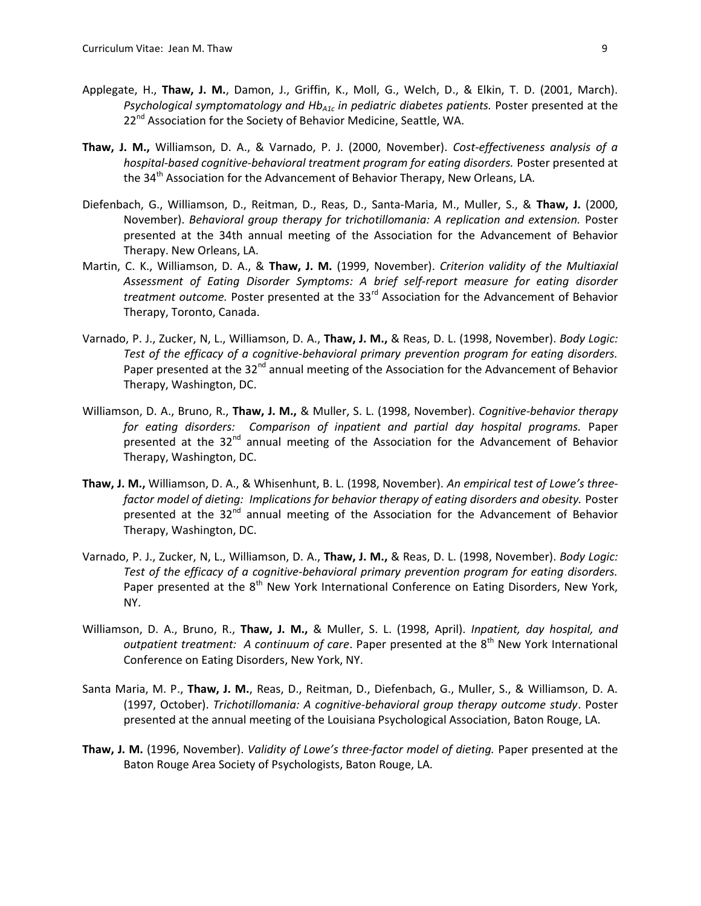- Applegate, H., Thaw, J. M., Damon, J., Griffin, K., Moll, G., Welch, D., & Elkin, T. D. (2001, March). Psychological symptomatology and  $Hb_{A1c}$  in pediatric diabetes patients. Poster presented at the 22<sup>nd</sup> Association for the Society of Behavior Medicine, Seattle, WA.
- Thaw, J. M., Williamson, D. A., & Varnado, P. J. (2000, November). Cost-effectiveness analysis of a hospital-based cognitive-behavioral treatment program for eating disorders. Poster presented at the 34<sup>th</sup> Association for the Advancement of Behavior Therapy, New Orleans, LA.
- Diefenbach, G., Williamson, D., Reitman, D., Reas, D., Santa-Maria, M., Muller, S., & Thaw, J. (2000, November). Behavioral group therapy for trichotillomania: A replication and extension. Poster presented at the 34th annual meeting of the Association for the Advancement of Behavior Therapy. New Orleans, LA.
- Martin, C. K., Williamson, D. A., & Thaw, J. M. (1999, November). Criterion validity of the Multiaxial Assessment of Eating Disorder Symptoms: A brief self-report measure for eating disorder treatment outcome. Poster presented at the 33<sup>rd</sup> Association for the Advancement of Behavior Therapy, Toronto, Canada.
- Varnado, P. J., Zucker, N, L., Williamson, D. A., Thaw, J. M., & Reas, D. L. (1998, November). Body Logic: Test of the efficacy of a cognitive-behavioral primary prevention program for eating disorders. Paper presented at the  $32<sup>nd</sup>$  annual meeting of the Association for the Advancement of Behavior Therapy, Washington, DC.
- Williamson, D. A., Bruno, R., Thaw, J. M., & Muller, S. L. (1998, November). Cognitive-behavior therapy for eating disorders: Comparison of inpatient and partial day hospital programs. Paper presented at the 32<sup>nd</sup> annual meeting of the Association for the Advancement of Behavior Therapy, Washington, DC.
- Thaw, J. M., Williamson, D. A., & Whisenhunt, B. L. (1998, November). An empirical test of Lowe's threefactor model of dieting: Implications for behavior therapy of eating disorders and obesity. Poster presented at the  $32<sup>nd</sup>$  annual meeting of the Association for the Advancement of Behavior Therapy, Washington, DC.
- Varnado, P. J., Zucker, N, L., Williamson, D. A., Thaw, J. M., & Reas, D. L. (1998, November). Body Logic: Test of the efficacy of a cognitive-behavioral primary prevention program for eating disorders. Paper presented at the 8<sup>th</sup> New York International Conference on Eating Disorders, New York, NY.
- Williamson, D. A., Bruno, R., Thaw, J. M., & Muller, S. L. (1998, April). Inpatient, day hospital, and outpatient treatment: A continuum of care. Paper presented at the  $8<sup>th</sup>$  New York International Conference on Eating Disorders, New York, NY.
- Santa Maria, M. P., Thaw, J. M., Reas, D., Reitman, D., Diefenbach, G., Muller, S., & Williamson, D. A. (1997, October). Trichotillomania: A cognitive-behavioral group therapy outcome study. Poster presented at the annual meeting of the Louisiana Psychological Association, Baton Rouge, LA.
- Thaw, J. M. (1996, November). Validity of Lowe's three-factor model of dieting. Paper presented at the Baton Rouge Area Society of Psychologists, Baton Rouge, LA.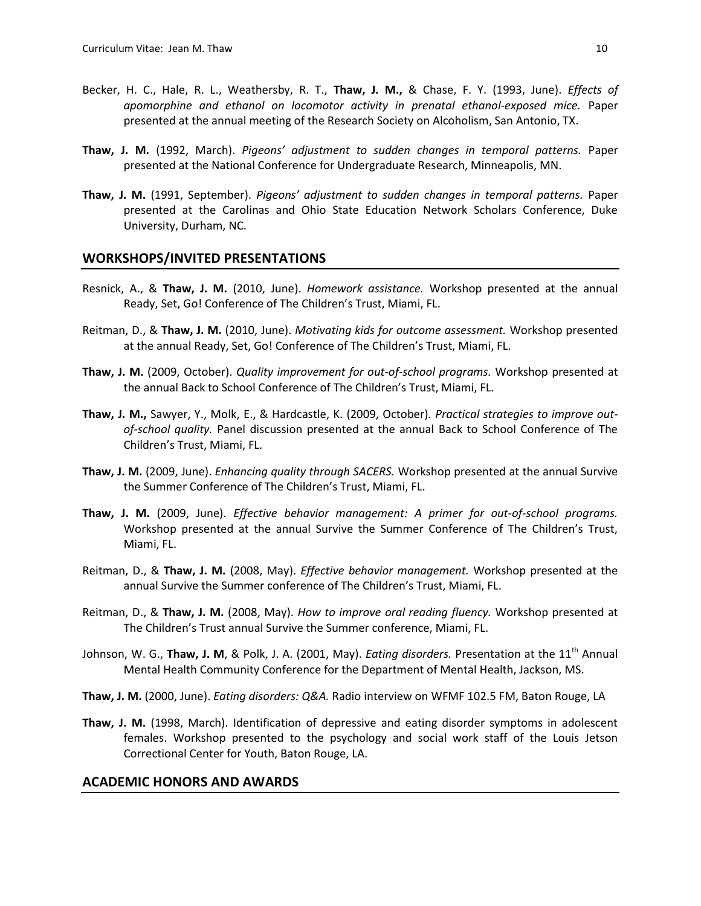- Becker, H. C., Hale, R. L., Weathersby, R. T., Thaw, J. M., & Chase, F. Y. (1993, June). *Effects of* apomorphine and ethanol on locomotor activity in prenatal ethanol-exposed mice. Paper presented at the annual meeting of the Research Society on Alcoholism, San Antonio, TX.
- Thaw, J. M. (1992, March). Pigeons' adjustment to sudden changes in temporal patterns. Paper presented at the National Conference for Undergraduate Research, Minneapolis, MN.
- Thaw, J. M. (1991, September). Pigeons' adjustment to sudden changes in temporal patterns. Paper presented at the Carolinas and Ohio State Education Network Scholars Conference, Duke University, Durham, NC.

#### WORKSHOPS/INVITED PRESENTATIONS

- Resnick, A., & Thaw, J. M. (2010, June). Homework assistance. Workshop presented at the annual Ready, Set, Go! Conference of The Children's Trust, Miami, FL.
- Reitman, D., & Thaw, J. M. (2010, June). Motivating kids for outcome assessment. Workshop presented at the annual Ready, Set, Go! Conference of The Children's Trust, Miami, FL.
- Thaw, J. M. (2009, October). Quality improvement for out-of-school programs. Workshop presented at the annual Back to School Conference of The Children's Trust, Miami, FL.
- Thaw, J. M., Sawyer, Y., Molk, E., & Hardcastle, K. (2009, October). Practical strategies to improve outof-school quality. Panel discussion presented at the annual Back to School Conference of The Children's Trust, Miami, FL.
- Thaw, J. M. (2009, June). Enhancing quality through SACERS. Workshop presented at the annual Survive the Summer Conference of The Children's Trust, Miami, FL.
- Thaw, J. M. (2009, June). Effective behavior management: A primer for out-of-school programs. Workshop presented at the annual Survive the Summer Conference of The Children's Trust, Miami, FL.
- Reitman, D., & Thaw, J. M. (2008, May). *Effective behavior management*. Workshop presented at the annual Survive the Summer conference of The Children's Trust, Miami, FL.
- Reitman, D., & Thaw, J. M. (2008, May). How to improve oral reading fluency. Workshop presented at The Children's Trust annual Survive the Summer conference, Miami, FL.
- Johnson, W. G., Thaw, J. M, & Polk, J. A. (2001, May). *Eating disorders*. Presentation at the  $11<sup>th</sup>$  Annual Mental Health Community Conference for the Department of Mental Health, Jackson, MS.
- Thaw, J. M. (2000, June). Eating disorders: Q&A. Radio interview on WFMF 102.5 FM, Baton Rouge, LA
- Thaw, J. M. (1998, March). Identification of depressive and eating disorder symptoms in adolescent females. Workshop presented to the psychology and social work staff of the Louis Jetson Correctional Center for Youth, Baton Rouge, LA.

#### ACADEMIC HONORS AND AWARDS